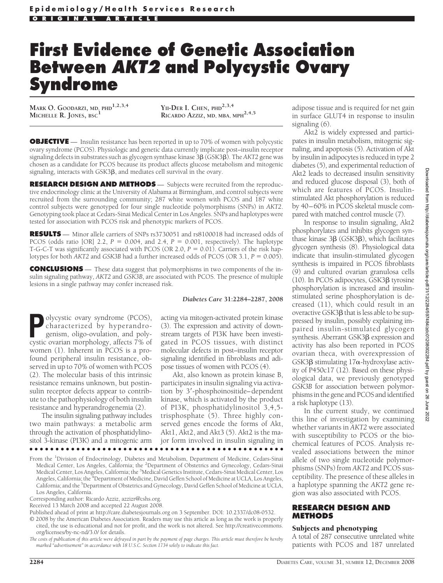# **First Evidence of Genetic Association Between** *AKT2* **and Polycystic Ovary Syndrome**

**MARK O. GOODARZI, MD, PHD1,2,3,4 MICHELLE R. JONES, BSC<sup>1</sup> YII-DER I. CHEN, PHD2,3,4**

YII-DER I. CHEN, PHD<sup>2,3,4</sup><br>RICARDO AZZIZ, MD, MBA, MPH<sup>2,4,5</sup>

**OBJECTIVE** — Insulin resistance has been reported in up to 70% of women with polycystic ovary syndrome (PCOS). Physiologic and genetic data currently implicate post–insulin receptor signaling defects in substrates such as glycogen synthase kinase 3 $\beta$  (GSK3 $\beta$ ). The *AKT2* gene was chosen as a candidate for PCOS because its product affects glucose metabolism and mitogenic signaling, interacts with  $GSK3\beta$ , and mediates cell survival in the ovary.

**RESEARCH DESIGN AND METHODS** — Subjects were recruited from the reproductive endocrinology clinic at the University of Alabama at Birmingham, and control subjects were recruited from the surrounding community; 287 white women with PCOS and 187 white control subjects were genotyped for four single nucleotide polymorphisms (SNPs) in *AKT2*. Genotyping took place at Cedars-Sinai Medical Center in Los Angeles. SNPs and haplotypes were tested for association with PCOS risk and phenotypic markers of PCOS.

**RESULTS** — Minor allele carriers of SNPs rs3730051 and rs8100018 had increased odds of PCOS (odds ratio [OR] 2.2,  $P = 0.004$ , and 2.4,  $P = 0.001$ , respectively). The haplotype T-G-C-T was significantly associated with PCOS (OR 2.0,  $P = 0.01$ ). Carriers of the risk haplotypes for both *AKT2* and *GSK3B* had a further increased odds of PCOS (OR 3.1, *P* = 0.005).

**CONCLUSIONS** — These data suggest that polymorphisms in two components of the insulin signaling pathway, *AKT2* and *GSK3B*, are associated with PCOS. The presence of multiple lesions in a single pathway may confer increased risk.

#### *Diabetes Care* **31:2284–2287, 2008**

**P**olycystic ovary syndrome (PCOS), characterized by hyperandro-<br>genism, oligo-ovulation, and poly-<br>cystic ovarian morphology affects 7% of characterized by hyperandrogenism, oligo-ovulation, and polycystic ovarian morphology, affects 7% of women (1). Inherent in PCOS is a profound peripheral insulin resistance, observed in up to 70% of women with PCOS (2). The molecular basis of this intrinsic resistance remains unknown, but postinsulin receptor defects appear to contribute to the pathophysiology of both insulin resistance and hyperandrogenemia (2).

The insulin signaling pathway includes two main pathways: a metabolic arm through the activation of phosphatidylinositol 3-kinase (PI3K) and a mitogenic arm acting via mitogen-activated protein kinase (3). The expression and activity of downstream targets of PI3K have been investigated in PCOS tissues, with distinct molecular defects in post–insulin receptor signaling identified in fibroblasts and adipose tissues of women with PCOS (4).

Akt, also known as protein kinase B, participates in insulin signaling via activation by 3-phosphoinositide–dependent kinase, which is activated by the product of PI3K, phosphatidylinositol 3,4,5 trisphosphate (5). Three highly conserved genes encode the forms of Akt, Akt1, Akt2, and Akt3 (5). Akt2 is the major form involved in insulin signaling in

which are features of PCOS. Insulinstimulated Akt phosphorylation is reduced

signaling (6).

by 40–60% in PCOS skeletal muscle compared with matched control muscle (7).

adipose tissue and is required for net gain in surface GLUT4 in response to insulin

Akt2 is widely expressed and participates in insulin metabolism, mitogenic signaling, and apoptosis (5). Activation of Akt by insulin in adipocytes is reduced in type 2 diabetes (5), and experimental reduction of Akt2 leads to decreased insulin sensitivity and reduced glucose disposal (3), both of

In response to insulin signaling, Akt2 phosphorylates and inhibits glycogen synthase kinase  $3\beta$  (GSK3 $\beta$ ), which facilitates glycogen synthesis (8). Physiological data indicate that insulin-stimulated glycogen synthesis is impaired in PCOS fibroblasts (9) and cultured ovarian granulosa cells (10). In PCOS adipocytes,  $\overline{GSK3}\beta$  tyrosine phosphorylation is increased and insulinstimulated serine phosphorylation is decreased (11), which could result in an overactive  $GSK3\beta$  that is less able to be suppressed by insulin, possibly explaining impaired insulin-stimulated glycogen synthesis. Aberrant  $GSK3\beta$  expression and activity has also been reported in PCOS ovarian theca, with overexpression of GSK3 $\beta$  stimulating 17 $\alpha$ -hydroxylase activity of P450c17 (12). Based on these physiological data, we previously genotyped *GSK3B* for association between polymorphisms in the gene and PCOS and identified a risk haplotype (13).

In the current study, we continued this line of investigation by examining whether variants in *AKT2* were associated with susceptibility to PCOS or the biochemical features of PCOS. Analysis revealed associations between the minor allele of two single nucleotide polymorphisms (SNPs) from *AKT2* and PCOS susceptibility. The presence of these alleles in a haplotype spanning the *AKT2* gene region was also associated with PCOS.

### **RESEARCH DESIGN AND METHODS**

### Subjects and phenotyping

A total of 287 consecutive unrelated white patients with PCOS and 187 unrelated

# From the <sup>1</sup>Division of Endocrinology, Diabetes and Metabolism, Department of Medicine, Cedars-Sinai<br>Medical Center, Los Angeles, California; the <sup>2</sup>Department of Obstetrics and Gynecology, Cedars-Sinai

Medical Center, Los Angeles, California; the <sup>3</sup>Medical Genetics Institute, Cedars-Sinai Medical Center, Los Angeles, California; the <sup>4</sup>Department of Medicine, David Geffen School of Medicine at UCLA, Los Angeles, California; and the <sup>5</sup>Department of Obstetrics and Gynecology, David Geffen School of Medicine at UCLA, Los Angeles, California.

●●●●●●●●●●●●●●●●●●●●●●●●●●●●●●●●●●●●●●●●●●●●●●●●●

Corresponding author: Ricardo Azziz, azzizr@cshs.org.

Received 13 March 2008 and accepted 22 August 2008.

Published ahead of print at http://care.diabetesjournals.org on 3 September. DOI: 10.2337/dc08-0532.

© 2008 by the American Diabetes Association. Readers may use this article as long as the work is properly cited, the use is educational and not for profit, and the work is not altered. See http://creativecommons. org/licenses/by-nc-nd/3.0/ for details.

*The costs of publication of this article were defrayed in part by the payment of page charges. This article must therefore be hereby marked "advertisement" in accordance with 18 U.S.C. Section 1734 solely to indicate this fact.*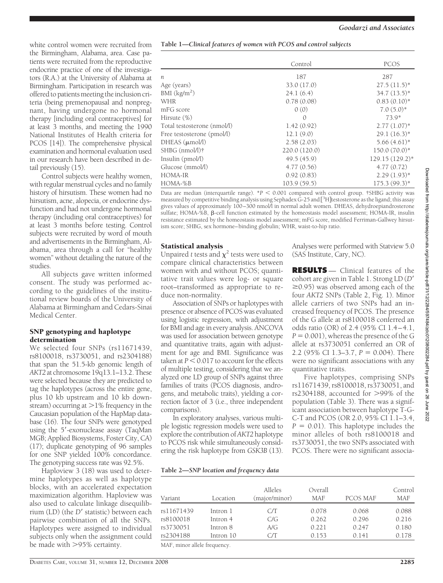white control women were recruited from the Birmingham, Alabama, area. Case patients were recruited from the reproductive endocrine practice of one of the investigators (R.A.) at the University of Alabama at Birmingham. Participation in research was offered to patients meeting the inclusion criteria (being premenopausal and nonpregnant, having undergone no hormonal therapy [including oral contraceptives] for at least 3 months, and meeting the 1990 National Institutes of Health criteria for PCOS [14]). The comprehensive physical examination and hormonal evaluation used in our research have been described in detail previously (15).

Control subjects were healthy women, with regular menstrual cycles and no family history of hirsutism. These women had no hirsutism, acne, alopecia, or endocrine dysfunction and had not undergone hormonal therapy (including oral contraceptives) for at least 3 months before testing. Control subjects were recruited by word of mouth and advertisements in the Birmingham, Alabama, area through a call for "healthy women" without detailing the nature of the studies.

All subjects gave written informed consent. The study was performed according to the guidelines of the institutional review boards of the University of Alabama at Birmingham and Cedars-Sinai Medical Center.

# SNP genotyping and haplotype determination

We selected four SNPs (rs11671439, rs8100018, rs3730051, and rs2304188) that span the 51.5-kb genomic length of *AKT2* at chromosome 19q13.1–13.2. These were selected because they are predicted to tag the haplotypes (across the entire gene, plus 10 kb upstream and 10 kb downstream) occurring at  $>1\%$  frequency in the Caucasian population of the HapMap database (16). The four SNPs were genotyped using the 5'-exonuclease assay (TaqMan MGB; Applied Biosystems, Foster City, CA) (17); duplicate genotyping of 96 samples for one SNP yielded 100% concordance. The genotyping success rate was 92.5%.

Haploview 3 (18) was used to determine haplotypes as well as haplotype blocks, with an accelerated expectation maximization algorithm. Haploview was also used to calculate linkage disequilibrium (LD) (the *D'* statistic) between each pairwise combination of all the SNPs. Haplotypes were assigned to individual subjects only when the assignment could be made with  $> 95\%$  certainty.

| Table 1-Clinical features of women with PCOS and control subjects |  |  |  |
|-------------------------------------------------------------------|--|--|--|
|                                                                   |  |  |  |

|                             | Control       | PCOS            |
|-----------------------------|---------------|-----------------|
| n.                          | 187           | 287             |
| Age (years)                 | 33.0 (17.0)   | $27.5(11.5)^*$  |
| BMI $(kg/m2)$               | 24.1(6.4)     | $34.7(13.5)^*$  |
| WHR                         | 0.78(0.08)    | $0.83(0.10)*$   |
| mFG score                   | 0(0)          | $7.0(5.0)*$     |
| Hirsute (%)                 | $\Omega$      | $73.9*$         |
| Total testosterone (nmol/l) | 1.42(0.92)    | $2.77(1.07)^*$  |
| Free testosterone (pmol/l)  | 12.1(9.0)     | $29.1(16.3)*$   |
| DHEAS (µmol/l)              | 2.58(2.03)    | $5.66(4.61)$ *  |
| SHBG (nmol/l)†              | 220.0 (120.0) | $150.0(70.0)*$  |
| Insulin (pmol/l)            | 49.5(45.9)    | 129.15 (129.2)* |
| Glucose (mmol/l)            | 4.77(0.56)    | 4.77(0.72)      |
| HOMA-IR                     | 0.92(0.83)    | $2.29(1.93)*$   |
| HOMA-%B                     | 103.9(59.5)   | $175.3(99.3)*$  |

Data are median (interquartile range). \**P* < 0.001 compared with control group. †SHBG activity was measured by competitive binding analysis using Sephadex  $\dot G$ -25 and [3H]testosterone as the ligand; this assay gives values of approximately 100–300 nmol $\overline{\Lambda}$  in normal adult women. DHEAS, dehydroepiandrosterone sulfate; HOMA-%B,  $\beta$ -cell function estimated by the homeostasis model assessment; HOMA-IR, insulin resistance estimated by the homeostasis model assessment; mFG score, modified Ferriman-Gallwey hirsutism score; SHBG, sex hormone–binding globulin; WHR, waist-to-hip ratio.

# Statistical analysis

Unpaired *t* tests and  $\chi^2$  tests were used to compare clinical characteristics between women with and without PCOS; quantitative trait values were log- or square root–transformed as appropriate to reduce non-normality.

Association of SNPs or haplotypes with presence or absence of PCOS was evaluated using logistic regression, with adjustment for BMI and age in every analysis. ANCOVA was used for association between genotype and quantitative traits, again with adjustment for age and BMI. Significance was taken at  $P \leq 0.017$  to account for the effects of multiple testing, considering that we analyzed one LD group of SNPs against three families of traits (PCOS diagnosis, androgens, and metabolic traits), yielding a correction factor of 3 (i.e., three independent comparisons).

In exploratory analyses, various multiple logistic regression models were used to explore the contribution of *AKT2* haplotype to PCOS risk while simultaneously considering the risk haplotype from *GSK3B* (13).

Analyses were performed with Statview 5.0 (SAS Institute, Cary, NC).

**RESULTS** — Clinical features of the cohort are given in Table 1. Strong LD (*D*  $\geq$ 0.95) was observed among each of the four *AKT2* SNPs (Table 2, Fig. 1). Minor allele carriers of two SNPs had an increased frequency of PCOS. The presence of the G allele at rs8100018 conferred an odds ratio (OR) of 2.4 (95% CI 1.4–4.1,  $P = 0.001$ ), whereas the presence of the G allele at rs3730051 conferred an OR of 2.2 (95% CI 1.3–3.7,  $P = 0.004$ ). There were no significant associations with any quantitative traits.

Five haplotypes, comprising SNPs rs11671439, rs8100018, rs3730051, and rs2304188, accounted for >99% of the population (Table 3). There was a significant association between haplotype T-G-C-T and PCOS (OR 2.0, 95% CI 1.1–3.4,  $P = 0.01$ ). This haplotype includes the minor alleles of both rs8100018 and rs3730051, the two SNPs associated with PCOS. There were no significant associa-

| Table 2-SNP location and frequency data |  |  |  |  |
|-----------------------------------------|--|--|--|--|
|-----------------------------------------|--|--|--|--|

| Variant    | Location  | Alleles<br>(major/minor) | Overall<br><b>MAF</b> | PCOS MAF | Control<br><b>MAF</b> |
|------------|-----------|--------------------------|-----------------------|----------|-----------------------|
| rs11671439 | Intron 1  | CЛ                       | 0.078                 | 0.068    | 0.088                 |
| rs8100018  | Intron 4  | C/G                      | 0.262                 | 0.296    | 0.216                 |
| rs3730051  | Intron 8  | A/G                      | 0.221                 | 0.247    | 0.180                 |
| rs2304188  | Intron 10 | CЛ                       | 0.153                 | 0.141    | 0.178                 |

MAF, minor allele frequency.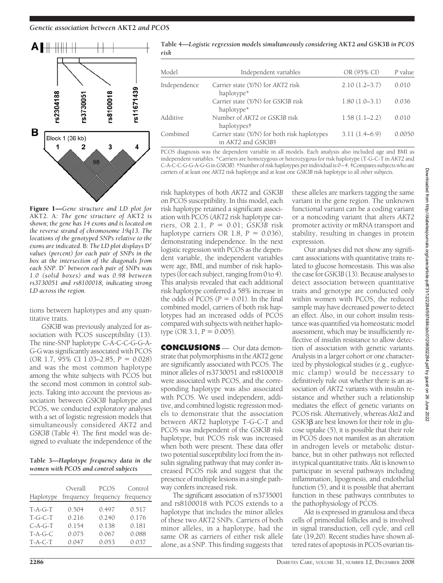

Figure 1—*Gene structure and LD plot for* AKT2*.* A*: The gene structure of* AKT2 *is shown; the gene has 14 exons and is located on the reverse strand of chromosome 19q13. The locations of the genotyped SNPs relative to the exons are indicated.* B*: The LD plot displays* D *values (percent) for each pair of SNPs in the box at the intersection of the diagonals from each SNP.* D' between each pair of SNPs was *1.0 (solid boxes) and was 0.98 between rs3730051 and rs8100018, indicating strong LD across the region.*

tions between haplotypes and any quantitative traits.

*GSK3B* was previously analyzed for association with PCOS susceptibility (13). The nine-SNP haplotype C-A-C-C-G-G-A-G-G was significantly associated with PCOS (OR 1.7, 95% CI 1.03–2.85,  $P = 0.028$ ) and was the most common haplotype among the white subjects with PCOS but the second most common in control subjects. Taking into account the previous association between *GSK3B* haplotype and PCOS, we conducted exploratory analyses with a set of logistic regression models that simultaneously considered *AKT2* and *GSK3B* (Table 4). The first model was designed to evaluate the independence of the

**Table 3—***Haplotype frequency data in the women with PCOS and control subjects*

| Haplotype | Overall<br>frequency | <b>PCOS</b><br>frequency | Control<br>frequency |
|-----------|----------------------|--------------------------|----------------------|
| $T-A-G-T$ | 0.504                | 0.497                    | 0.517                |
| $T-G-C-T$ | 0.216                | 0.240                    | 0.176                |
| $C-A-G-T$ | 0.154                | 0.138                    | 0.181                |
| $T-A-G-C$ | 0.075                | 0.067                    | 0.088                |
| $T-A-C-T$ | 0.047                | 0.053                    | 0.037                |

| Table 4—Logistic regression models simultaneously considering AKT2 and GSK3B in PCOS |
|--------------------------------------------------------------------------------------|
| risk                                                                                 |

| Model        | Independent variables                                              | OR (95% CI)     | P value |
|--------------|--------------------------------------------------------------------|-----------------|---------|
| Independence | Carrier state (Y/N) for AKT2 risk<br>haplotype*                    | $2.10(1.2-3.7)$ | 0.010   |
|              | Carrier state (Y/N) for GSK3B risk<br>haplotype*                   | $1.80(1.0-3.1)$ | 0.036   |
| Additive     | Number of AKT2 or GSK3B risk<br>haplotypes†                        | $1.58(1.1-2.2)$ | 0.010   |
| Combined     | Carrier state (Y/N) for both risk haplotypes<br>in AKT2 and GSK3B‡ | $3.11(1.4-6.9)$ | 0.0050  |
|              |                                                                    |                 |         |

PCOS diagnosis was the dependent variable in all models. Each analysis also included age and BMI as independent variables. \*Carriers are homozygous or heterozygous for risk haplotype (T-G-C-T in *AKT2* and C-A-C-C-G-G-A-G-G in *GSK3B*). †Number of risk haplotypes per individual is 0–4. ‡Compares subjects who are carriers of at least one *AKT2* risk haplotype and at least one *GSK3B* risk haplotype to all other subjects.

risk haplotypes of both *AKT2* and *GSK3B* on PCOS susceptibility. In this model, each risk haplotype retained a significant association with PCOS (*AKT2* risk haplotype carriers, OR 2.1, *P* - 0.01; *GSK3B* risk haplotype carriers OR  $1.8$ ,  $P = 0.036$ ), demonstrating independence. In the next logistic regression with PCOS as the dependent variable, the independent variables were age, BMI, and number of risk haplotypes (for each subject, ranging from 0 to 4). This analysis revealed that each additional risk haplotype conferred a 58% increase in the odds of PCOS  $(P = 0.01)$ . In the final combined model, carriers of both risk haplotypes had an increased odds of PCOS compared with subjects with neither haplo $type (OR 3.1, P = 0.005).$ 

**CONCLUSIONS** — Our data demonstrate that polymorphisms in the*AKT2* gene are significantly associated with PCOS. The minor alleles of rs3730051 and rs8100018 were associated with PCOS, and the corresponding haplotype was also associated with PCOS. We used independent, additive, and combined logistic regression models to demonstrate that the association between *AKT2* haplotype T-G-C-T and PCOS was independent of the *GSK3B* risk haplotype, but PCOS risk was increased when both were present. These data offer two potential susceptibility loci from the insulin signaling pathway that may confer increased PCOS risk and suggest that the presence of multiple lesions in a single pathway confers increased risk.

The significant association of rs3735001 and rs8100018 with PCOS extends to a haplotype that includes the minor alleles of these two *AKT2* SNPs. Carriers of both minor alleles, in a haplotype, had the same OR as carriers of either risk allele alone, as a SNP. This finding suggests that

these alleles are markers tagging the same variant in the gene region. The unknown functional variant can be a coding variant or a noncoding variant that alters *AKT2* promoter activity or mRNA transport and stability, resulting in changes in protein expression.

Our analyses did not show any significant associations with quantitative traits related to glucose homeostasis. This was also the case for*GSK3B* (13). Because analyses to detect association between quantitative traits and genotype are conducted only within women with PCOS, the reduced sample may have decreased power to detect an effect. Also, in our cohort insulin resistance was quantified via homeostatic model assessment, which may be insufficiently reflective of insulin resistance to allow detection of association with genetic variants. Analysis in a larger cohort or one characterized by physiological studies (e.g., euglycemic clamp) would be necessary to definitively rule out whether there is an association of *AKT2* variants with insulin resistance and whether such a relationship mediates the effect of genetic variants on PCOS risk. Alternatively, whereas Akt2 and  $GSK3\beta$  are best known for their role in glucose uptake (5), it is possible that their role in PCOS does not manifest as an alteration in androgen levels or metabolic disturbance, but in other pathways not reflected in typical quantitative traits. Akt is known to participate in several pathways including inflammation, lipogenesis, and endothelial function (5), and it is possible that aberrant function in these pathways contributes to the pathophysiology of PCOS.

Akt is expressed in granulosa and theca cells of primordial follicles and is involved in signal transduction, cell cycle, and cell fate (19,20). Recent studies have shown altered rates of apoptosis in PCOS ovarian tis